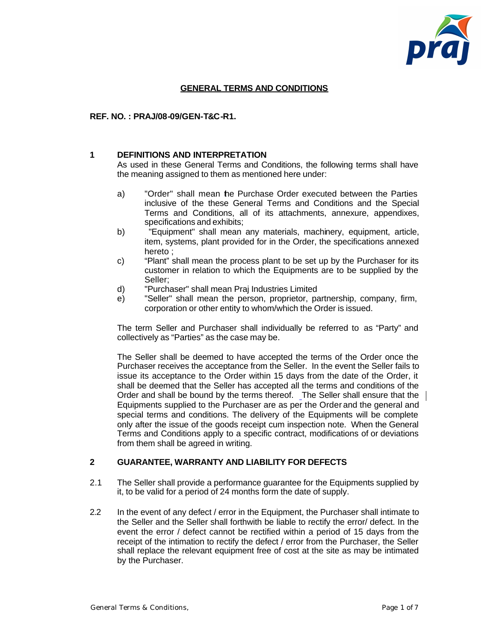

# **GENERAL TERMS AND CONDITIONS**

#### **REF. NO. : PRAJ/08-09/GEN-T&C-R1.**

#### **1 DEFINITIONS AND INTERPRETATION**

As used in these General Terms and Conditions, the following terms shall have the meaning assigned to them as mentioned here under:

- a) "Order" shall mean the Purchase Order executed between the Parties inclusive of the these General Terms and Conditions and the Special Terms and Conditions, all of its attachments, annexure, appendixes, specifications and exhibits;
- b) "Equipment" shall mean any materials, machinery, equipment, article, item, systems, plant provided for in the Order, the specifications annexed hereto ;
- c) "Plant" shall mean the process plant to be set up by the Purchaser for its customer in relation to which the Equipments are to be supplied by the Seller;
- d) "Purchaser" shall mean Praj Industries Limited
- e) "Seller" shall mean the person, proprietor, partnership, company, firm, corporation or other entity to whom/which the Order is issued.

The term Seller and Purchaser shall individually be referred to as "Party" and collectively as "Parties" as the case may be.

The Seller shall be deemed to have accepted the terms of the Order once the Purchaser receives the acceptance from the Seller. In the event the Seller fails to issue its acceptance to the Order within 15 days from the date of the Order, it shall be deemed that the Seller has accepted all the terms and conditions of the Order and shall be bound by the terms thereof. The Seller shall ensure that the Equipments supplied to the Purchaser are as per the Order and the general and special terms and conditions. The delivery of the Equipments will be complete only after the issue of the goods receipt cum inspection note. When the General Terms and Conditions apply to a specific contract, modifications of or deviations from them shall be agreed in writing.

#### **2 GUARANTEE, WARRANTY AND LIABILITY FOR DEFECTS**

- 2.1 The Seller shall provide a performance guarantee for the Equipments supplied by it, to be valid for a period of 24 months form the date of supply.
- 2.2 In the event of any defect / error in the Equipment, the Purchaser shall intimate to the Seller and the Seller shall forthwith be liable to rectify the error/ defect. In the event the error / defect cannot be rectified within a period of 15 days from the receipt of the intimation to rectify the defect / error from the Purchaser, the Seller shall replace the relevant equipment free of cost at the site as may be intimated by the Purchaser.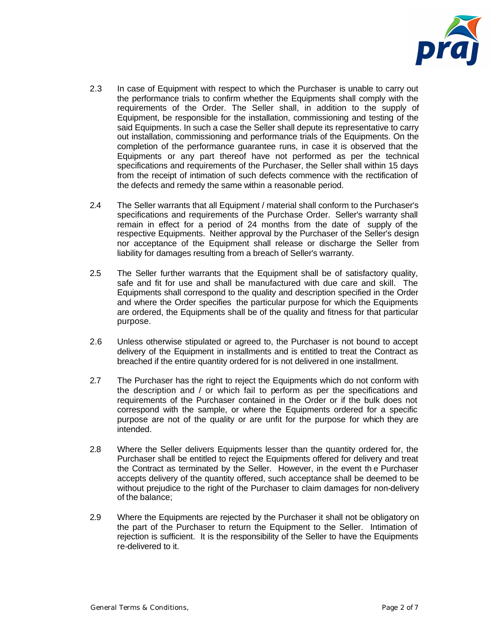

- 2.3 In case of Equipment with respect to which the Purchaser is unable to carry out the performance trials to confirm whether the Equipments shall comply with the requirements of the Order. The Seller shall, in addition to the supply of Equipment, be responsible for the installation, commissioning and testing of the said Equipments. In such a case the Seller shall depute its representative to carry out installation, commissioning and performance trials of the Equipments. On the completion of the performance guarantee runs, in case it is observed that the Equipments or any part thereof have not performed as per the technical specifications and requirements of the Purchaser, the Seller shall within 15 days from the receipt of intimation of such defects commence with the rectification of the defects and remedy the same within a reasonable period.
- 2.4 The Seller warrants that all Equipment / material shall conform to the Purchaser's specifications and requirements of the Purchase Order. Seller's warranty shall remain in effect for a period of 24 months from the date of supply of the respective Equipments. Neither approval by the Purchaser of the Seller's design nor acceptance of the Equipment shall release or discharge the Seller from liability for damages resulting from a breach of Seller's warranty.
- 2.5 The Seller further warrants that the Equipment shall be of satisfactory quality, safe and fit for use and shall be manufactured with due care and skill. The Equipments shall correspond to the quality and description specified in the Order and where the Order specifies the particular purpose for which the Equipments are ordered, the Equipments shall be of the quality and fitness for that particular purpose.
- 2.6 Unless otherwise stipulated or agreed to, the Purchaser is not bound to accept delivery of the Equipment in installments and is entitled to treat the Contract as breached if the entire quantity ordered for is not delivered in one installment.
- 2.7 The Purchaser has the right to reject the Equipments which do not conform with the description and / or which fail to perform as per the specifications and requirements of the Purchaser contained in the Order or if the bulk does not correspond with the sample, or where the Equipments ordered for a specific purpose are not of the quality or are unfit for the purpose for which they are intended.
- 2.8 Where the Seller delivers Equipments lesser than the quantity ordered for, the Purchaser shall be entitled to reject the Equipments offered for delivery and treat the Contract as terminated by the Seller. However, in the event th e Purchaser accepts delivery of the quantity offered, such acceptance shall be deemed to be without prejudice to the right of the Purchaser to claim damages for non-delivery of the balance;
- 2.9 Where the Equipments are rejected by the Purchaser it shall not be obligatory on the part of the Purchaser to return the Equipment to the Seller. Intimation of rejection is sufficient. It is the responsibility of the Seller to have the Equipments re-delivered to it.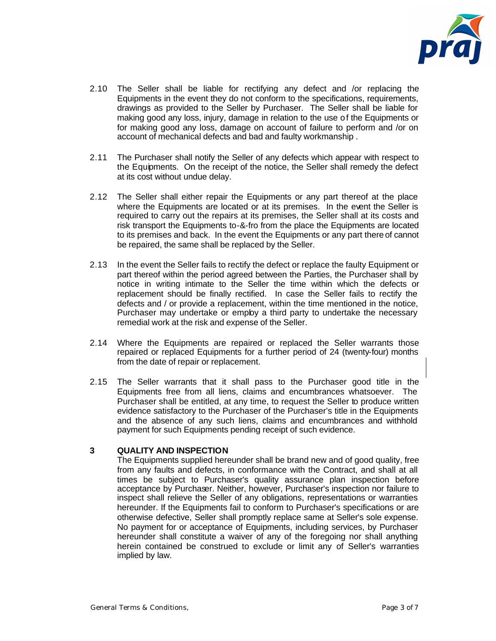

- 2.10 The Seller shall be liable for rectifying any defect and /or replacing the Equipments in the event they do not conform to the specifications, requirements, drawings as provided to the Seller by Purchaser. The Seller shall be liable for making good any loss, injury, damage in relation to the use of the Equipments or for making good any loss, damage on account of failure to perform and /or on account of mechanical defects and bad and faulty workmanship .
- 2.11 The Purchaser shall notify the Seller of any defects which appear with respect to the Equipments. On the receipt of the notice, the Seller shall remedy the defect at its cost without undue delay.
- 2.12 The Seller shall either repair the Equipments or any part thereof at the place where the Equipments are located or at its premises. In the event the Seller is required to carry out the repairs at its premises, the Seller shall at its costs and risk transport the Equipments to-&-fro from the place the Equipments are located to its premises and back. In the event the Equipments or any part thereof cannot be repaired, the same shall be replaced by the Seller.
- 2.13 In the event the Seller fails to rectify the defect or replace the faulty Equipment or part thereof within the period agreed between the Parties, the Purchaser shall by notice in writing intimate to the Seller the time within which the defects or replacement should be finally rectified. In case the Seller fails to rectify the defects and / or provide a replacement, within the time mentioned in the notice, Purchaser may undertake or employ a third party to undertake the necessary remedial work at the risk and expense of the Seller.
- 2.14 Where the Equipments are repaired or replaced the Seller warrants those repaired or replaced Equipments for a further period of 24 (twenty-four) months from the date of repair or replacement.
- 2.15 The Seller warrants that it shall pass to the Purchaser good title in the Equipments free from all liens, claims and encumbrances whatsoever. The Purchaser shall be entitled, at any time, to request the Seller to produce written evidence satisfactory to the Purchaser of the Purchaser's title in the Equipments and the absence of any such liens, claims and encumbrances and withhold payment for such Equipments pending receipt of such evidence.

# **3 QUALITY AND INSPECTION**

The Equipments supplied hereunder shall be brand new and of good quality, free from any faults and defects, in conformance with the Contract, and shall at all times be subject to Purchaser's quality assurance plan inspection before acceptance by Purchaser. Neither, however, Purchaser's inspection nor failure to inspect shall relieve the Seller of any obligations, representations or warranties hereunder. If the Equipments fail to conform to Purchaser's specifications or are otherwise defective, Seller shall promptly replace same at Seller's sole expense. No payment for or acceptance of Equipments, including services, by Purchaser hereunder shall constitute a waiver of any of the foregoing nor shall anything herein contained be construed to exclude or limit any of Seller's warranties implied by law.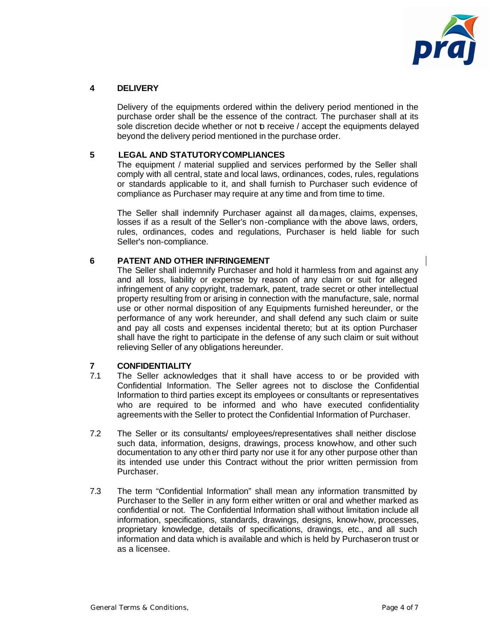

# **4 DELIVERY**

Delivery of the equipments ordered within the delivery period mentioned in the purchase order shall be the essence of the contract. The purchaser shall at its sole discretion decide whether or not p receive / accept the equipments delayed beyond the delivery period mentioned in the purchase order.

# **5 LEGAL AND STATUTORY COMPLIANCES**

The equipment / material supplied and services performed by the Seller shall comply with all central, state and local laws, ordinances, codes, rules, regulations or standards applicable to it, and shall furnish to Purchaser such evidence of compliance as Purchaser may require at any time and from time to time.

The Seller shall indemnify Purchaser against all damages, claims, expenses, losses if as a result of the Seller's non-compliance with the above laws, orders, rules, ordinances, codes and regulations, Purchaser is held liable for such Seller's non-compliance.

# **6 PATENT AND OTHER INFRINGEMENT**

The Seller shall indemnify Purchaser and hold it harmless from and against any and all loss, liability or expense by reason of any claim or suit for alleged infringement of any copyright, trademark, patent, trade secret or other intellectual property resulting from or arising in connection with the manufacture, sale, normal use or other normal disposition of any Equipments furnished hereunder, or the performance of any work hereunder, and shall defend any such claim or suite and pay all costs and expenses incidental thereto; but at its option Purchaser shall have the right to participate in the defense of any such claim or suit without relieving Seller of any obligations hereunder.

# **7 CONFIDENTIALITY**

- The Seller acknowledges that it shall have access to or be provided with Confidential Information. The Seller agrees not to disclose the Confidential Information to third parties except its employees or consultants or representatives who are required to be informed and who have executed confidentiality agreements with the Seller to protect the Confidential Information of Purchaser.
- 7.2 The Seller or its consultants/ employees/representatives shall neither disclose such data, information, designs, drawings, process know-how, and other such documentation to any other third party nor use it for any other purpose other than its intended use under this Contract without the prior written permission from Purchaser.
- 7.3 The term "Confidential Information" shall mean any information transmitted by Purchaser to the Seller in any form either written or oral and whether marked as confidential or not. The Confidential Information shall without limitation include all information, specifications, standards, drawings, designs, know-how, processes, proprietary knowledge, details of specifications, drawings, etc., and all such information and data which is available and which is held by Purchaseron trust or as a licensee.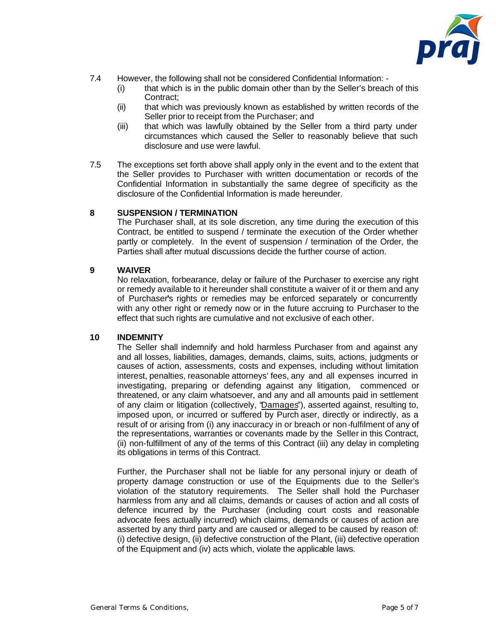

- 7.4 However, the following shall not be considered Confidential Information:
	- (i) that which is in the public domain other than by the Seller's breach of this Contract;
	- (ii) that which was previously known as established by written records of the Seller prior to receipt from the Purchaser; and
	- (iii) that which was lawfully obtained by the Seller from a third party under circumstances which caused the Seller to reasonably believe that such disclosure and use were lawful.
- 7.5 The exceptions set forth above shall apply only in the event and to the extent that the Seller provides to Purchaser with written documentation or records of the Confidential Information in substantially the same degree of specificity as the disclosure of the Confidential Information is made hereunder.

#### **8 SUSPENSION / TERMINATION**

The Purchaser shall, at its sole discretion, any time during the execution of this Contract, be entitled to suspend / terminate the execution of the Order whether partly or completely. In the event of suspension / termination of the Order, the Parties shall after mutual discussions decide the further course of action.

#### **9 WAIVER**

No relaxation, forbearance, delay or failure of the Purchaser to exercise any right or remedy available to it hereunder shall constitute a waiver of it or them and any of Purchaser**'**s rights or remedies may be enforced separately or concurrently with any other right or remedy now or in the future accruing to Purchaser to the effect that such rights are cumulative and not exclusive of each other.

#### **10 INDEMNITY**

The Seller shall indemnify and hold harmless Purchaser from and against any and all losses, liabilities, damages, demands, claims, suits, actions, judgments or causes of action, assessments, costs and expenses, including without limitation interest, penalties, reasonable attorneys' fees, any and all expenses incurred in investigating, preparing or defending against any litigation, commenced or threatened, or any claim whatsoever, and any and all amounts paid in settlement of any claim or litigation (collectively, "Damages"), asserted against, resulting to, imposed upon, or incurred or suffered by Purch aser, directly or indirectly, as a result of or arising from (i) any inaccuracy in or breach or non -fulfilment of any of the representations, warranties or covenants made by the Seller in this Contract, (ii) non-fulfillment of any of the terms of this Contract (iii) any delay in completing its obligations in terms of this Contract.

Further, the Purchaser shall not be liable for any personal injury or death of property damage construction or use of the Equipments due to the Seller's violation of the statutory requirements. The Seller shall hold the Purchaser harmless from any and all claims, demands or causes of action and all costs of defence incurred by the Purchaser (including court costs and reasonable advocate fees actually incurred) which claims, demands or causes of action are asserted by any third party and are caused or alleged to be caused by reason of: (i) defective design, (ii) defective construction of the Plant, (iii) defective operation of the Equipment and (iv) acts which, violate the applicable laws.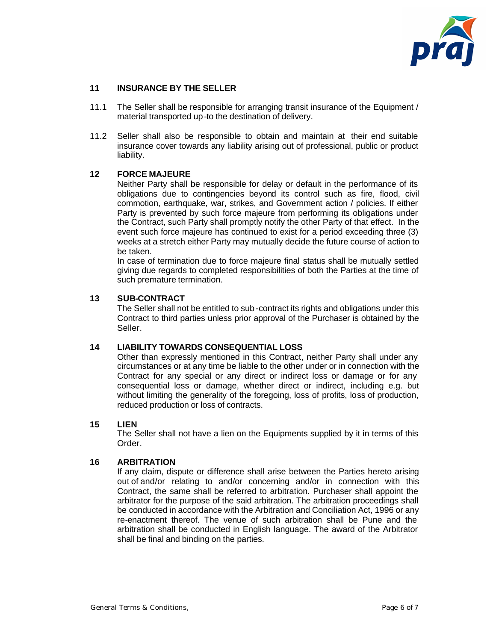

# **11 INSURANCE BY THE SELLER**

- 11.1 The Seller shall be responsible for arranging transit insurance of the Equipment / material transported up-to the destination of delivery.
- 11.2 Seller shall also be responsible to obtain and maintain at their end suitable insurance cover towards any liability arising out of professional, public or product liability.

# **12 FORCE MAJEURE**

Neither Party shall be responsible for delay or default in the performance of its obligations due to contingencies beyond its control such as fire, flood, civil commotion, earthquake, war, strikes, and Government action / policies. If either Party is prevented by such force majeure from performing its obligations under the Contract, such Party shall promptly notify the other Party of that effect. In the event such force majeure has continued to exist for a period exceeding three (3) weeks at a stretch either Party may mutually decide the future course of action to be taken.

In case of termination due to force majeure final status shall be mutually settled giving due regards to completed responsibilities of both the Parties at the time of such premature termination.

### **13 SUB-CONTRACT**

The Seller shall not be entitled to sub -contract its rights and obligations under this Contract to third parties unless prior approval of the Purchaser is obtained by the Seller.

#### **14 LIABILITY TOWARDS CONSEQUENTIAL LOSS**

Other than expressly mentioned in this Contract, neither Party shall under any circumstances or at any time be liable to the other under or in connection with the Contract for any special or any direct or indirect loss or damage or for any consequential loss or damage, whether direct or indirect, including e.g. but without limiting the generality of the foregoing, loss of profits, loss of production, reduced production or loss of contracts.

#### **15 LIEN**

The Seller shall not have a lien on the Equipments supplied by it in terms of this Order.

#### **16 ARBITRATION**

If any claim, dispute or difference shall arise between the Parties hereto arising out of and/or relating to and/or concerning and/or in connection with this Contract, the same shall be referred to arbitration. Purchaser shall appoint the arbitrator for the purpose of the said arbitration. The arbitration proceedings shall be conducted in accordance with the Arbitration and Conciliation Act, 1996 or any re-enactment thereof. The venue of such arbitration shall be Pune and the arbitration shall be conducted in English language. The award of the Arbitrator shall be final and binding on the parties.